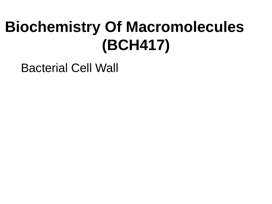# **Biochemistry Of Macromolecules (BCH417)**

Bacterial Cell Wall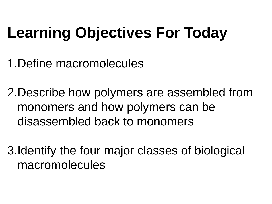# **Learning Objectives For Today**

1.Define macromolecules

2.Describe how polymers are assembled from monomers and how polymers can be disassembled back to monomers

3.Identify the four major classes of biological macromolecules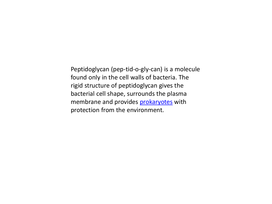Peptidoglycan (pep-tid-o-gly-can) is a molecule found only in the cell walls of bacteria. The rigid structure of peptidoglycan gives the bacterial cell shape, surrounds the plasma membrane and provides **[prokaryotes](http://www.scienceprofonline.com/cell-biology/prokaryotic-cell-parts-functions-diagrams.html)** with protection from the environment.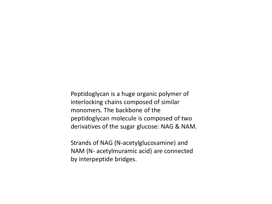Peptidoglycan is a huge organic polymer of interlocking chains composed of similar monomers. The backbone of the peptidoglycan molecule is composed of two derivatives of the sugar glucose: NAG & NAM.

Strands of NAG (N-acetylglucosamine) and NAM (N- acetylmuramic acid) are connected by interpeptide bridges.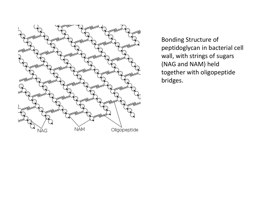

Bonding Structure of peptidoglycan in bacterial cell wall, with strings of sugars (NAG and NAM) held together with oligopeptide bridges.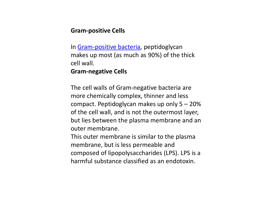## **Gram-positive Cells**

In [Gram-positive bacteria,](http://www.scienceprofonline.com/microbiology/gram-positive-bacteria-cell-wall.html) peptidoglycan makes up most (as much as 90%) of the thick cell wall.

#### **Gram-negative Cells**

The cell walls of Gram-negative bacteria are more chemically complex, thinner and less compact. Peptidoglycan makes up only 5 – 20% of the cell wall, and is not the outermost layer, but lies between the plasma membrane and an outer membrane.

This outer membrane is similar to the plasma membrane, but is less permeable and composed of lipopolysaccharides (LPS). LPS is a harmful substance classified as an endotoxin.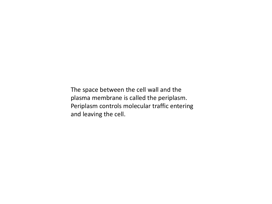The space between the cell wall and the plasma membrane is called the periplasm. Periplasm controls molecular traffic entering and leaving the cell.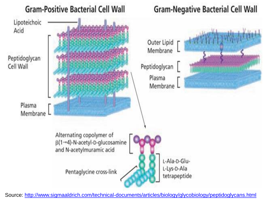

Source:<http://www.sigmaaldrich.com/technical-documents/articles/biology/glycobiology/peptidoglycans.html>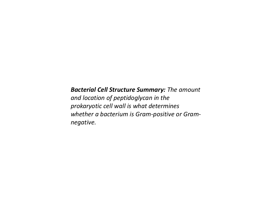## *Bacterial Cell Structure Summary: The amount*

*and location of peptidoglycan in the prokaryotic cell wall is what determines whether a bacterium is Gram-positive or Gramnegative.*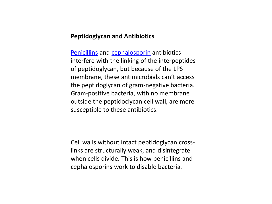#### **Peptidoglycan and Antibiotics**

[Penicillins](http://www.scienceprofonline.com/microbiology/mode-of-action-of-penicillin-antibiotic.html) and [cephalosporin](http://www.scienceprofonline.com/microbiology/mode-of-action-of-cephalosporin-antibiotics.html) antibiotics interfere with the linking of the interpeptides of peptidoglycan, but because of the LPS membrane, these antimicrobials can't access the peptidoglycan of gram-negative bacteria. Gram-positive bacteria, with no membrane outside the peptidoclycan cell wall, are more susceptible to these antibiotics.

Cell walls without intact peptidoglycan crosslinks are structurally weak, and disintegrate when cells divide. This is how penicillins and cephalosporins work to disable bacteria.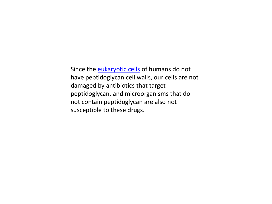Since the **[eukaryotic cells](http://www.scienceprofonline.com/cell-biology/eukaryotic-cell-parts-functions-diagrams.html)** of humans do not have peptidoglycan cell walls, our cells are not damaged by antibiotics that target peptidoglycan, and microorganisms that do not contain peptidoglycan are also not susceptible to these drugs.